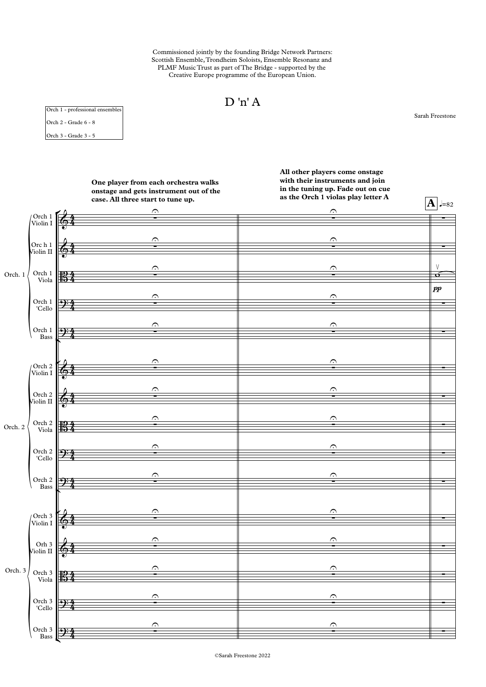Commissioned jointly by the founding Bridge Network Partners: Scottish Ensemble,Trondheim Soloists, Ensemble Resonanz and PLMF Music Trust as part of The Bridge - supported by the Creative Europe programme of the European Union.

 $\bf{D}$  'n'  $\bf{A}$ <br>Sarah Freestone

| Orch 1 - professional ensembles |  |
|---------------------------------|--|
| Orch 2 - Grade 6 - 8            |  |
| Orch 3 - Grade 3 - 5            |  |

 $\sqrt{\frac{Orch}{Ba}}$  $\sqrt{\frac{Orch}{Ba}}$  $\sqrt{\frac{Orch}{Ba}}$  $\theta$  $\frac{\partial^2 \vec{A}}{\partial \vec{A}}$  $\mathcal{L}_{\mathcal{L}}$  $\sqrt{27}$  $\mathcal{L}_{\mathcal{L}}$  $\frac{1}{4}$ Orch 1  $\sqrt{4}$ Violin I  $\sqrt{94}$ Orch 1  $\angle$  4 Violin II  $\mathbb{R}^{4}$ Orch 1 Viola Orch 1 'Cello Orch 1  $\bigcirc: 4$ Bass Orch 2 Violin I Orch 2  $\angle$  4 Violin II  $\mathbb{R}^{4}$ Orch 2  $\Box 4$ Viola | <del>1104 |</del> Orch 2 'Cello Orch 2  $\bigcirc$  2.4 Bass Orch 3 Violin I Orh 3 Violin II Orch 3 Viola Orch 3 'Cello Orch 3  $\bigcirc$   $\cdot$  4  $\frac{1}{\text{Bass}}\left[\frac{\text{L}}{\text{L}}\right]$ **One player from each orchestra walks onstage and gets instrument out of the case. All three start to tune up. All other players come onstage with their instruments and join in the tuning up.Fade out on cue as the Orch 1 violas** play letter **A**  $\boxed{\mathbf{A}}$  =82 pp 4  $\frac{4}{4}$ 4  $\frac{4}{4}$ 4  $\frac{4}{4}$  $4 \frac{1}{2}$  $\frac{4}{4}$ 4  $\frac{4}{4}$ 4  $\frac{4}{4}$ 4  $\frac{4}{4}$ 4  $\frac{4}{4}$ 4  $\frac{4}{4}$  $4 \frac{1}{2}$  $\frac{4}{4}$  $4 \frac{1}{2}$  $\frac{4}{4}$ 4  $\frac{4}{4}$ 4  $\frac{4}{4}$ 4  $\frac{4}{4}$ 4  $\frac{4}{4}$  $64^{4}$  $\ddot{\cdot}$  $\hat{C}$ ∑  $\frac{2}{9}$  $\hat{C}$ ∑ Orch. 1  $\left\{\n \begin{array}{c}\n \text{Orch } 1 \\
 \text{Vich } \n \end{array}\n \right\}\n \longrightarrow 2$  $\frac{1}{\sqrt{2}}$  $2\frac{1}{4}$  $\frac{1}{2}$ ∑  $\frac{1}{2}$ <sup>2</sup>  $\hat{C}$ ∑  $\frac{2}{9}$  $\frac{1}{2}$ ∑  $\frac{2}{9}$  $\hat{C}$ ∑ Orch. 2  $\begin{array}{|c|c|c|c|c|}\n\hline\n\text{Orch } 2 & \text{USA} \\
\hline\n\text{Viola} & \text{D4} & \text{I.}\n\hline\n\end{array}$  $\hat{C}$ ∑  $\frac{1}{2}$   $\frac{1}{2}$   $\frac{1}{2}$   $\frac{1}{2}$   $\frac{1}{2}$   $\frac{1}{2}$   $\frac{1}{2}$   $\frac{1}{2}$   $\frac{1}{2}$   $\frac{1}{2}$   $\frac{1}{2}$   $\frac{1}{2}$   $\frac{1}{2}$   $\frac{1}{2}$   $\frac{1}{2}$   $\frac{1}{2}$   $\frac{1}{2}$   $\frac{1}{2}$   $\frac{1}{2}$   $\frac{1}{2}$   $\frac{1}{2}$   $\frac{1}{2}$   $\ddot{\cdot}$ ∑  $2\frac{1}{4}$  $\frac{1}{2}$ ∑  $\frac{1}{2}$  $\frac{1}{2}$ ∑  $\frac{2}{9}$  $\frac{1}{2}$ ∑ Orch. 3  $\left\{ \text{Orch } 3 \right\}$   $\overrightarrow{94}$  $\hat{C}$ ∑  $\frac{1}{2}$   $\frac{1}{2}$   $\frac{1}{2}$   $\frac{1}{2}$   $\frac{1}{2}$   $\frac{1}{2}$   $\frac{1}{2}$   $\frac{1}{2}$   $\frac{1}{2}$   $\frac{1}{2}$   $\frac{1}{2}$   $\frac{1}{2}$   $\frac{1}{2}$   $\frac{1}{2}$   $\frac{1}{2}$   $\frac{1}{2}$   $\frac{1}{2}$   $\frac{1}{2}$   $\frac{1}{2}$   $\frac{1}{2}$   $\frac{1}{2}$   $\frac{1}{2}$   $\ddot{\cdot}$ ∑  $\frac{1}{2}$   $\frac{1}{2}$   $\frac{1}{2}$   $\frac{1}{2}$   $\frac{1}{2}$   $\frac{1}{2}$   $\frac{1}{2}$   $\frac{1}{2}$   $\frac{1}{2}$   $\frac{1}{2}$   $\frac{1}{2}$   $\frac{1}{2}$   $\frac{1}{2}$   $\frac{1}{2}$   $\frac{1}{2}$   $\frac{1}{2}$   $\frac{1}{2}$   $\frac{1}{2}$   $\frac{1}{2}$   $\frac{1}{2}$   $\frac{1}{2}$   $\frac{1}{2}$   $\frac{1}{2}$ ∑  $\vec{o}$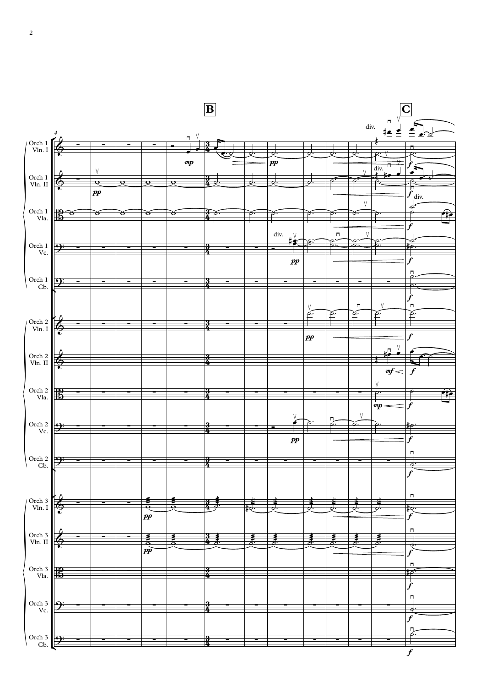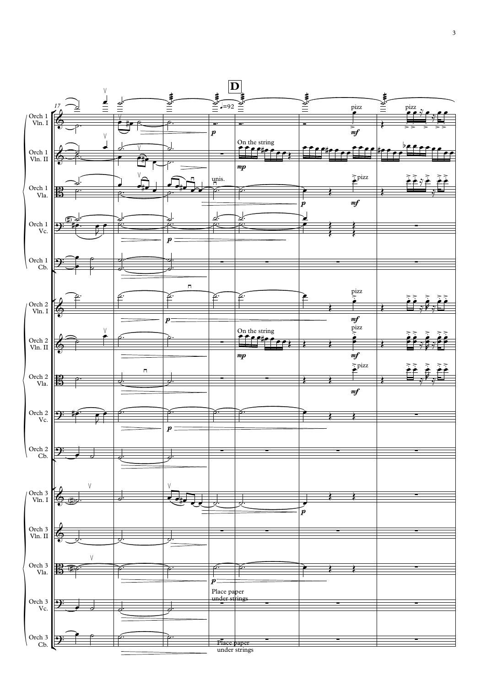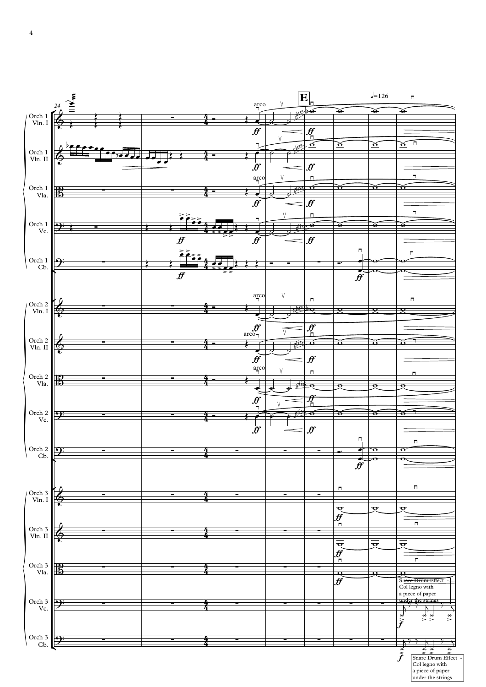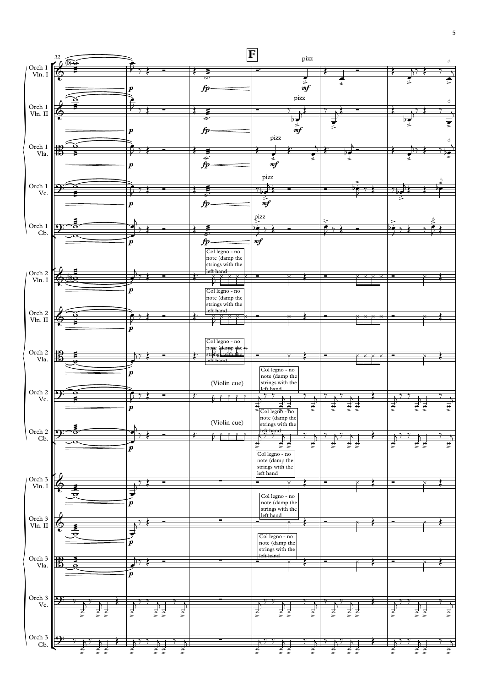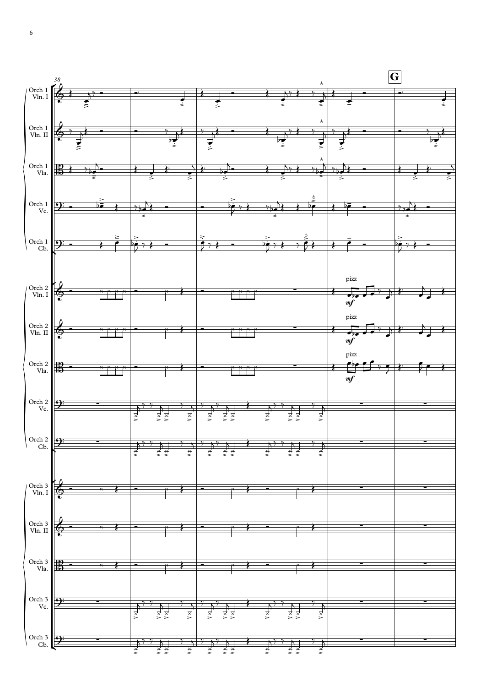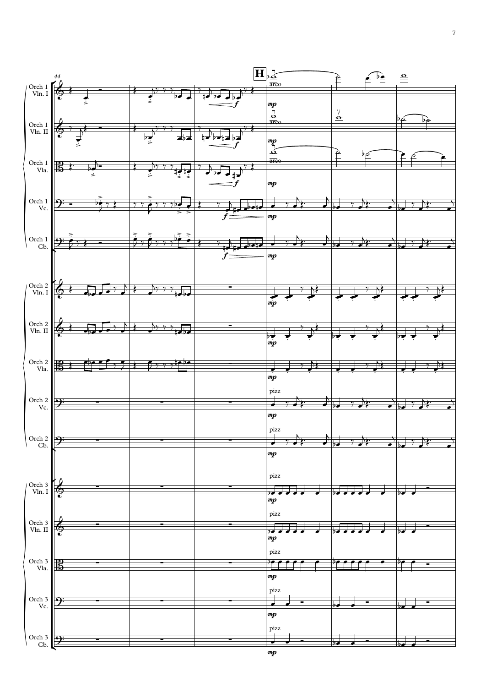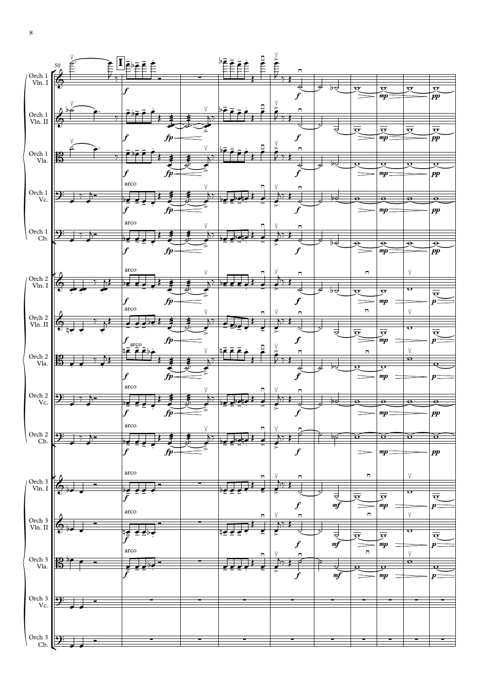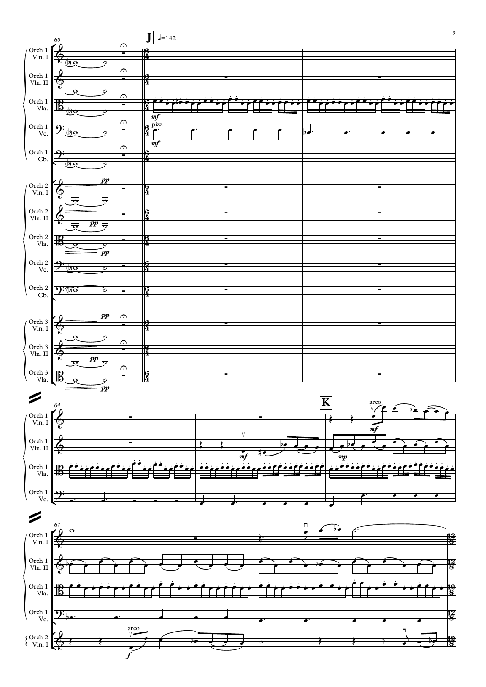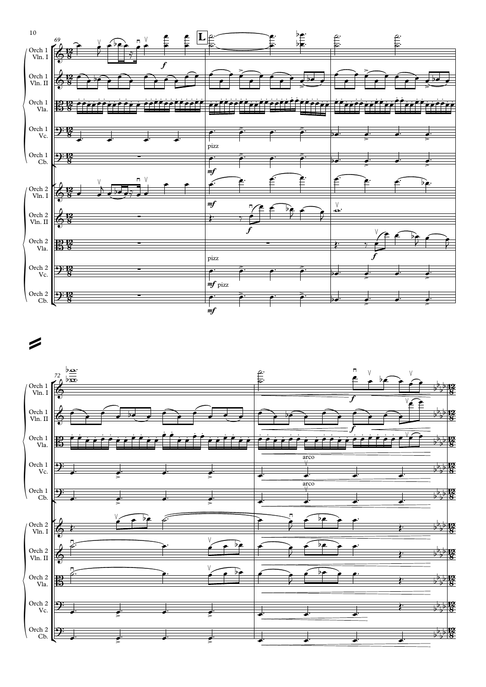



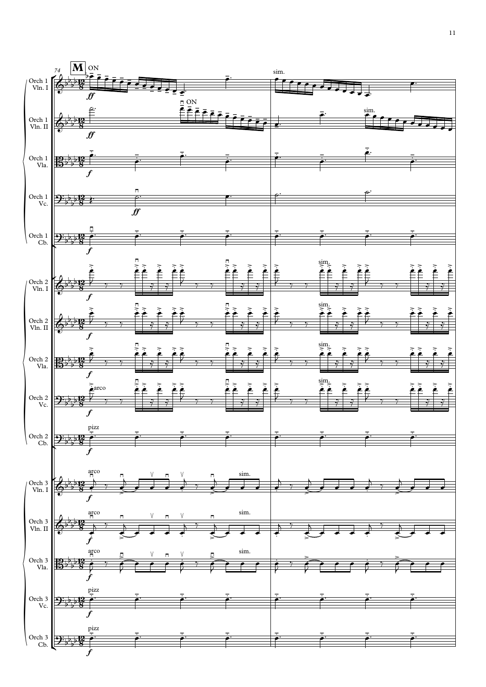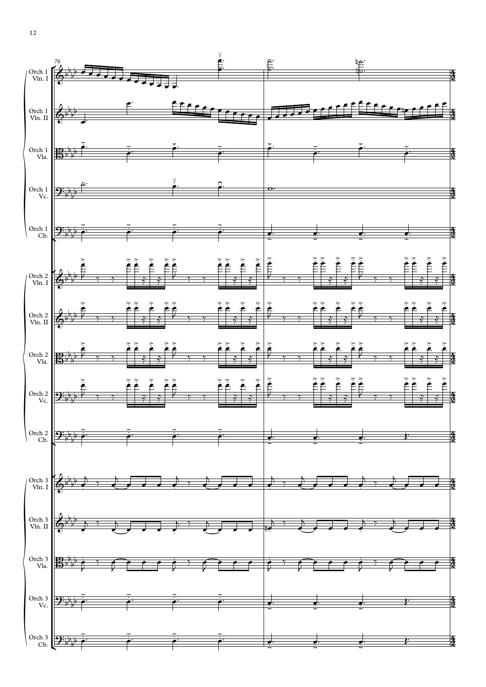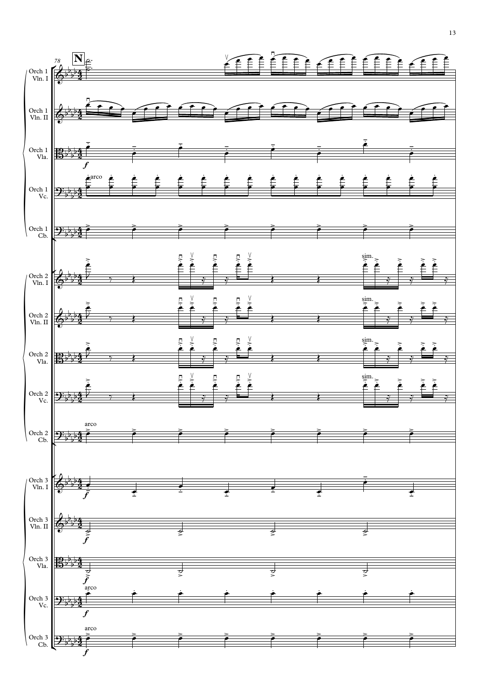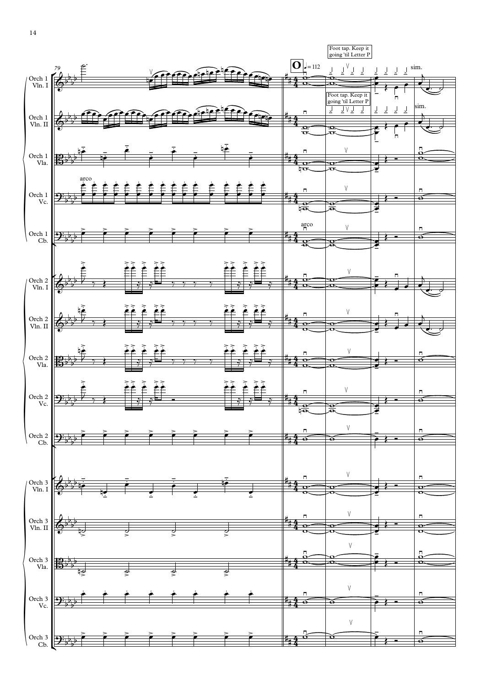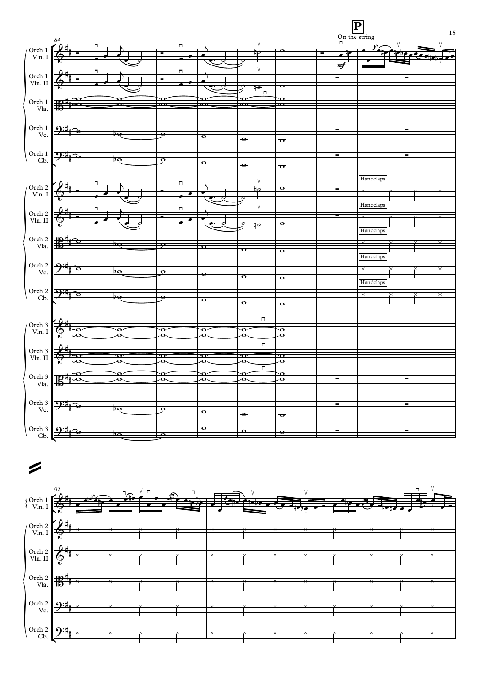

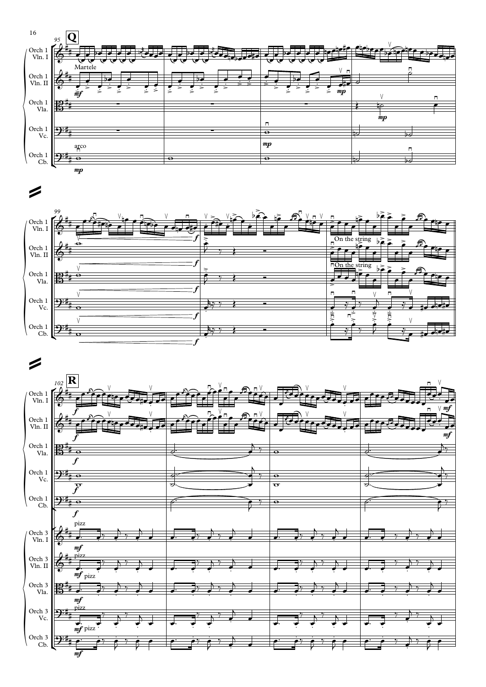



 $\overline{\phantom{a}}$ 



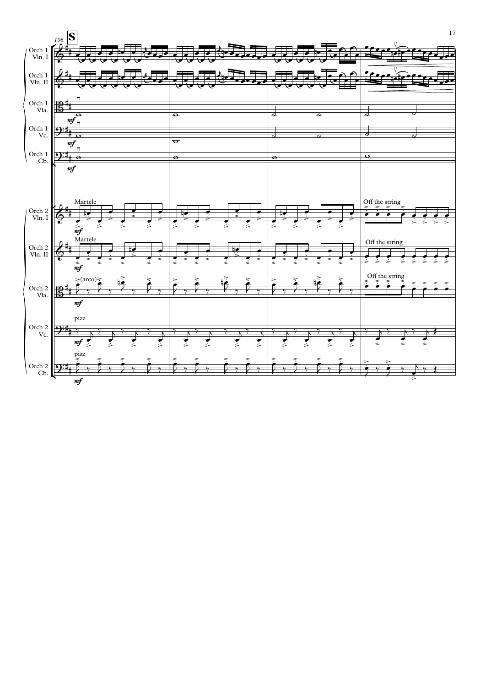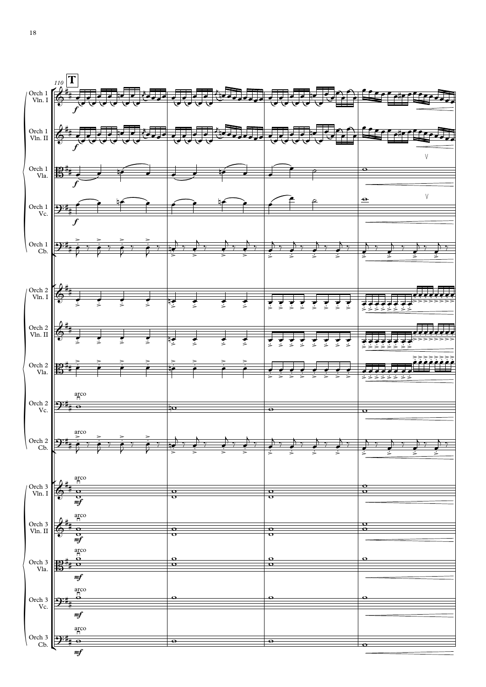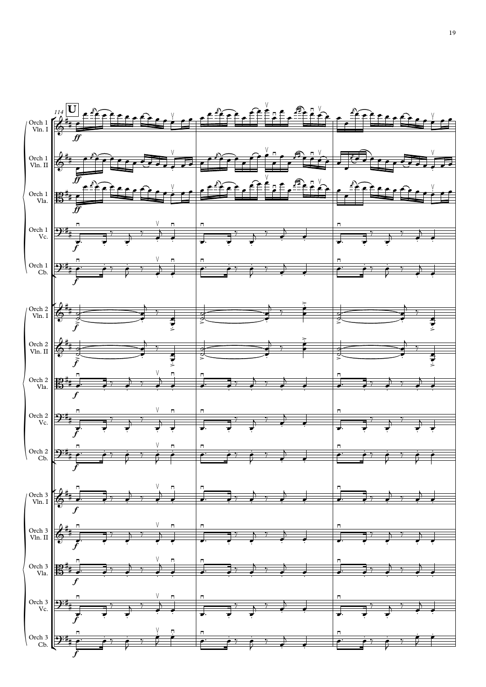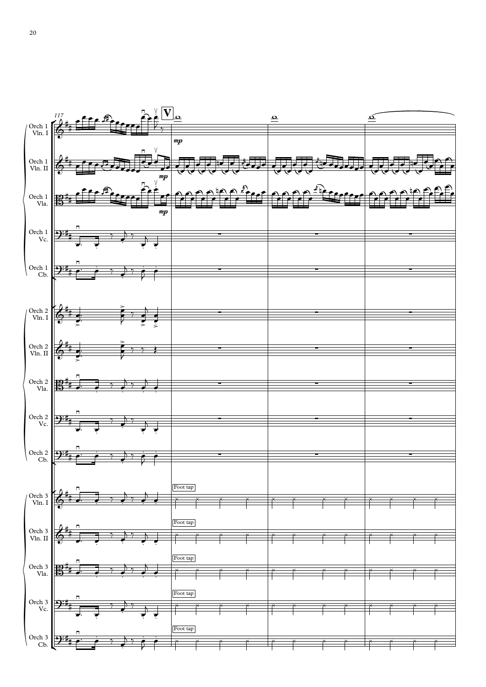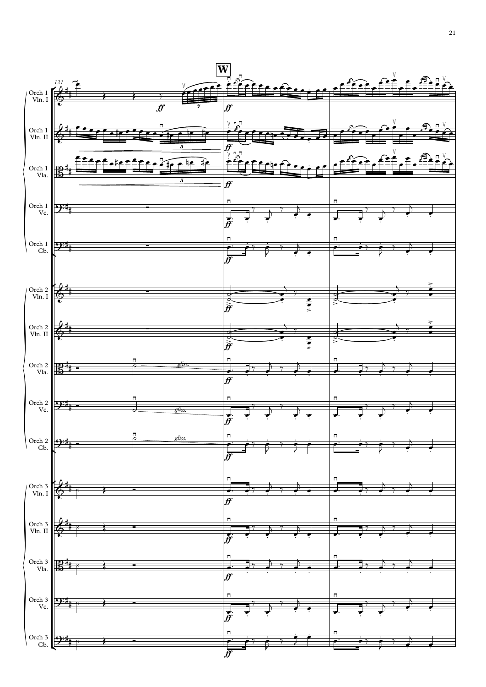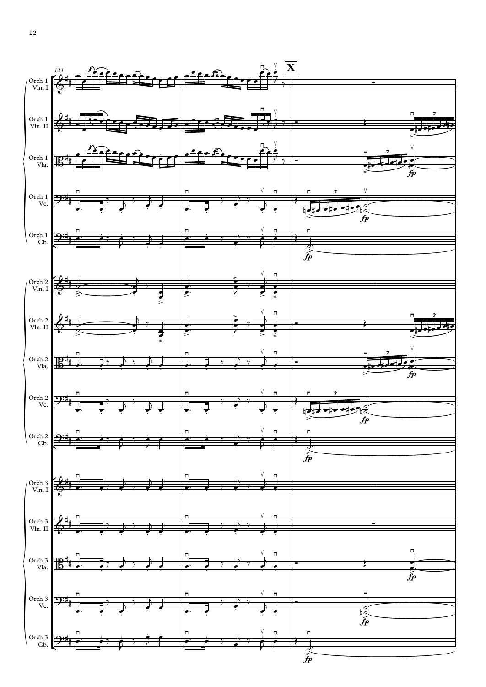